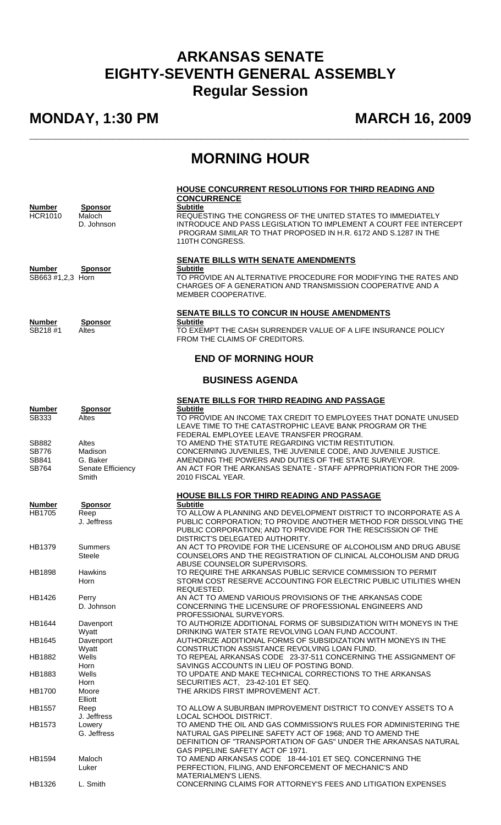## **ARKANSAS SENATE EIGHTY-SEVENTH GENERAL ASSEMBLY Regular Session**

## **MONDAY, 1:30 PM MARCH 16, 2009**

## **MORNING HOUR**

**\_\_\_\_\_\_\_\_\_\_\_\_\_\_\_\_\_\_\_\_\_\_\_\_\_\_\_\_\_\_\_\_\_\_\_\_\_\_\_\_\_\_\_\_\_\_\_\_\_\_\_\_\_\_\_\_\_\_\_\_\_\_\_\_\_\_\_\_\_** 

| <b>Number</b><br><b>HCR1010</b><br><b>Number</b><br>SB663 #1,2,3 Horn<br><b>Number</b><br>SB218#1 | <b>Sponsor</b><br>Maloch<br>D. Johnson<br><b>Sponsor</b><br><b>Sponsor</b><br>Altes | HOUSE CONCURRENT RESOLUTIONS FOR THIRD READING AND<br><b>CONCURRENCE</b><br><b>Subtitle</b><br>REQUESTING THE CONGRESS OF THE UNITED STATES TO IMMEDIATELY<br>INTRODUCE AND PASS LEGISLATION TO IMPLEMENT A COURT FEE INTERCEPT<br>PROGRAM SIMILAR TO THAT PROPOSED IN H.R. 6172 AND S.1287 IN THE<br>110TH CONGRESS.<br>SENATE BILLS WITH SENATE AMENDMENTS<br><b>Subtitle</b><br>TO PROVIDE AN ALTERNATIVE PROCEDURE FOR MODIFYING THE RATES AND<br>CHARGES OF A GENERATION AND TRANSMISSION COOPERATIVE AND A<br>MEMBER COOPERATIVE.<br>SENATE BILLS TO CONCUR IN HOUSE AMENDMENTS<br><b>Subtitle</b><br>TO EXEMPT THE CASH SURRENDER VALUE OF A LIFE INSURANCE POLICY<br>FROM THE CLAIMS OF CREDITORS. |
|---------------------------------------------------------------------------------------------------|-------------------------------------------------------------------------------------|------------------------------------------------------------------------------------------------------------------------------------------------------------------------------------------------------------------------------------------------------------------------------------------------------------------------------------------------------------------------------------------------------------------------------------------------------------------------------------------------------------------------------------------------------------------------------------------------------------------------------------------------------------------------------------------------------------|
|                                                                                                   |                                                                                     | <b>END OF MORNING HOUR</b>                                                                                                                                                                                                                                                                                                                                                                                                                                                                                                                                                                                                                                                                                 |
| <b>BUSINESS AGENDA</b>                                                                            |                                                                                     |                                                                                                                                                                                                                                                                                                                                                                                                                                                                                                                                                                                                                                                                                                            |
| <b>Number</b><br>SB333                                                                            | <b>Sponsor</b><br>Altes                                                             | SENATE BILLS FOR THIRD READING AND PASSAGE<br><b>Subtitle</b><br>TO PROVIDE AN INCOME TAX CREDIT TO EMPLOYEES THAT DONATE UNUSED<br>LEAVE TIME TO THE CATASTROPHIC LEAVE BANK PROGRAM OR THE<br>FEDERAL EMPLOYEE LEAVE TRANSFER PROGRAM.                                                                                                                                                                                                                                                                                                                                                                                                                                                                   |
| SB882<br><b>SB776</b><br>SB841<br><b>SB764</b>                                                    | Altes<br>Madison<br>G. Baker<br>Senate Efficiency<br>Smith                          | TO AMEND THE STATUTE REGARDING VICTIM RESTITUTION.<br>CONCERNING JUVENILES, THE JUVENILE CODE, AND JUVENILE JUSTICE.<br>AMENDING THE POWERS AND DUTIES OF THE STATE SURVEYOR.<br>AN ACT FOR THE ARKANSAS SENATE - STAFF APPROPRIATION FOR THE 2009-<br>2010 FISCAL YEAR.                                                                                                                                                                                                                                                                                                                                                                                                                                   |
| <b>Number</b><br><b>HB1705</b>                                                                    | <b>Sponsor</b><br>Reep<br>J. Jeffress                                               | <b>HOUSE BILLS FOR THIRD READING AND PASSAGE</b><br><b>Subtitle</b><br>TO ALLOW A PLANNING AND DEVELOPMENT DISTRICT TO INCORPORATE AS A<br>PUBLIC CORPORATION; TO PROVIDE ANOTHER METHOD FOR DISSOLVING THE<br>PUBLIC CORPORATION; AND TO PROVIDE FOR THE RESCISSION OF THE                                                                                                                                                                                                                                                                                                                                                                                                                                |
| HB1379                                                                                            | Summers<br><b>Steele</b>                                                            | DISTRICT'S DELEGATED AUTHORITY.<br>AN ACT TO PROVIDE FOR THE LICENSURE OF ALCOHOLISM AND DRUG ABUSE<br>COUNSELORS AND THE REGISTRATION OF CLINICAL ALCOHOLISM AND DRUG<br>ABUSE COUNSELOR SUPERVISORS.                                                                                                                                                                                                                                                                                                                                                                                                                                                                                                     |
| <b>HB1898</b>                                                                                     | <b>Hawkins</b><br>Horn                                                              | TO REQUIRE THE ARKANSAS PUBLIC SERVICE COMMISSION TO PERMIT<br>STORM COST RESERVE ACCOUNTING FOR ELECTRIC PUBLIC UTILITIES WHEN<br>REQUESTED.                                                                                                                                                                                                                                                                                                                                                                                                                                                                                                                                                              |
| HB1426                                                                                            | Perry<br>D. Johnson                                                                 | AN ACT TO AMEND VARIOUS PROVISIONS OF THE ARKANSAS CODE<br>CONCERNING THE LICENSURE OF PROFESSIONAL ENGINEERS AND<br>PROFESSIONAL SURVEYORS.                                                                                                                                                                                                                                                                                                                                                                                                                                                                                                                                                               |
| HB1644                                                                                            | Davenport<br>Wyatt                                                                  | TO AUTHORIZE ADDITIONAL FORMS OF SUBSIDIZATION WITH MONEYS IN THE<br>DRINKING WATER STATE REVOLVING LOAN FUND ACCOUNT.                                                                                                                                                                                                                                                                                                                                                                                                                                                                                                                                                                                     |
| HB1645                                                                                            | Davenport<br>Wyatt                                                                  | AUTHORIZE ADDITIONAL FORMS OF SUBSIDIZATION WITH MONEYS IN THE<br>CONSTRUCTION ASSISTANCE REVOLVING LOAN FUND.                                                                                                                                                                                                                                                                                                                                                                                                                                                                                                                                                                                             |
| <b>HB1882</b>                                                                                     | Wells<br>Horn                                                                       | TO REPEAL ARKANSAS CODE 23-37-511 CONCERNING THE ASSIGNMENT OF<br>SAVINGS ACCOUNTS IN LIEU OF POSTING BOND.                                                                                                                                                                                                                                                                                                                                                                                                                                                                                                                                                                                                |
| HB1883                                                                                            | Wells<br>Horn                                                                       | TO UPDATE AND MAKE TECHNICAL CORRECTIONS TO THE ARKANSAS<br>SECURITIES ACT, 23-42-101 ET SEQ.                                                                                                                                                                                                                                                                                                                                                                                                                                                                                                                                                                                                              |
| HB1700                                                                                            | Moore<br>Elliott                                                                    | THE ARKIDS FIRST IMPROVEMENT ACT.                                                                                                                                                                                                                                                                                                                                                                                                                                                                                                                                                                                                                                                                          |
| <b>HB1557</b>                                                                                     | Reep<br>J. Jeffress                                                                 | TO ALLOW A SUBURBAN IMPROVEMENT DISTRICT TO CONVEY ASSETS TO A<br>LOCAL SCHOOL DISTRICT.                                                                                                                                                                                                                                                                                                                                                                                                                                                                                                                                                                                                                   |
| <b>HB1573</b>                                                                                     | Lowery<br>G. Jeffress                                                               | TO AMEND THE OIL AND GAS COMMISSION'S RULES FOR ADMINISTERING THE<br>NATURAL GAS PIPELINE SAFETY ACT OF 1968; AND TO AMEND THE<br>DEFINITION OF "TRANSPORTATION OF GAS" UNDER THE ARKANSAS NATURAL<br>GAS PIPELINE SAFETY ACT OF 1971.                                                                                                                                                                                                                                                                                                                                                                                                                                                                     |
| HB1594                                                                                            | Maloch<br>Luker                                                                     | TO AMEND ARKANSAS CODE 18-44-101 ET SEQ. CONCERNING THE<br>PERFECTION, FILING, AND ENFORCEMENT OF MECHANIC'S AND<br><b>MATERIALMEN'S LIENS.</b>                                                                                                                                                                                                                                                                                                                                                                                                                                                                                                                                                            |
| HB1326                                                                                            | L. Smith                                                                            | CONCERNING CLAIMS FOR ATTORNEY'S FEES AND LITIGATION EXPENSES                                                                                                                                                                                                                                                                                                                                                                                                                                                                                                                                                                                                                                              |